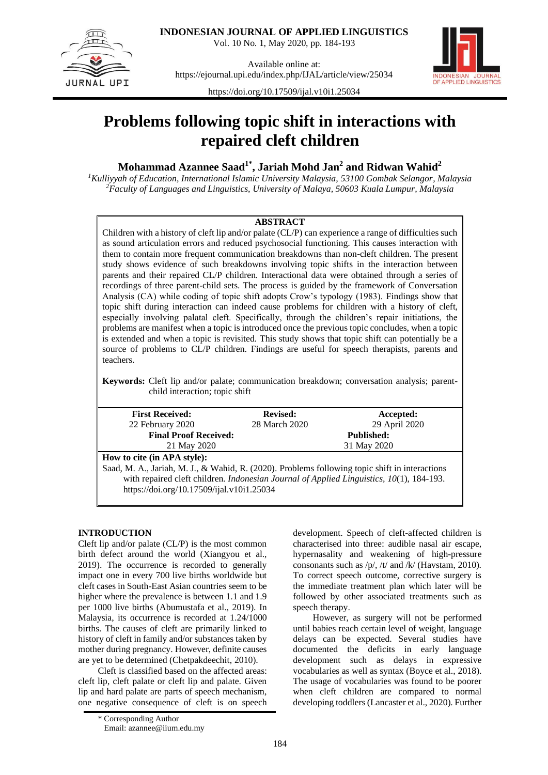

**INDONESIAN JOURNAL OF APPLIED LINGUISTICS**

Vol. 10 No. 1, May 2020, pp. 184-193

Available online at: <https://ejournal.upi.edu/index.php/IJAL/article/view/25034>



<https://doi.org/10.17509/ijal.v10i1.25034>

# **Problems following topic shift in interactions with repaired cleft children**

# **Mohammad Azannee Saad1\*, Jariah Mohd Jan<sup>2</sup> and Ridwan Wahid<sup>2</sup>**

*<sup>1</sup>Kulliyyah of Education, International Islamic University Malaysia, 53100 Gombak Selangor, Malaysia <sup>2</sup>Faculty of Languages and Linguistics, University of Malaya, 50603 Kuala Lumpur, Malaysia*

# **ABSTRACT**

Children with a history of cleft lip and/or palate (CL/P) can experience a range of difficulties such as sound articulation errors and reduced psychosocial functioning. This causes interaction with them to contain more frequent communication breakdowns than non-cleft children. The present study shows evidence of such breakdowns involving topic shifts in the interaction between parents and their repaired CL/P children. Interactional data were obtained through a series of recordings of three parent-child sets. The process is guided by the framework of Conversation Analysis (CA) while coding of topic shift adopts Crow's typology (1983). Findings show that topic shift during interaction can indeed cause problems for children with a history of cleft, especially involving palatal cleft. Specifically, through the children's repair initiations, the problems are manifest when a topic is introduced once the previous topic concludes, when a topic is extended and when a topic is revisited. This study shows that topic shift can potentially be a source of problems to CL/P children. Findings are useful for speech therapists, parents and teachers.

**Keywords:** Cleft lip and/or palate; communication breakdown; conversation analysis; parentchild interaction; topic shift

| <b>First Received:</b>                                                                           | <b>Revised:</b> | Accepted:         |  |  |
|--------------------------------------------------------------------------------------------------|-----------------|-------------------|--|--|
| 22 February 2020                                                                                 | 28 March 2020   | 29 April 2020     |  |  |
| <b>Final Proof Received:</b>                                                                     |                 | <b>Published:</b> |  |  |
| 21 May 2020                                                                                      |                 | 31 May 2020       |  |  |
| How to cite (in APA style):                                                                      |                 |                   |  |  |
| Saad, M. A., Jariah, M. J., & Wahid, R. (2020). Problems following topic shift in interactions   |                 |                   |  |  |
| with repaired cleft children. <i>Indonesian Journal of Applied Linguistics</i> , 10(1), 184-193. |                 |                   |  |  |
| https://doi.org/10.17509/ijal.v10i1.25034                                                        |                 |                   |  |  |
|                                                                                                  |                 |                   |  |  |

# **INTRODUCTION**

Cleft lip and/or palate (CL/P) is the most common birth defect around the world (Xiangyou et al., 2019). The occurrence is recorded to generally impact one in every 700 live births worldwide but cleft cases in South-East Asian countries seem to be higher where the prevalence is between 1.1 and 1.9 per 1000 live births (Abumustafa et al., 2019). In Malaysia, its occurrence is recorded at 1.24/1000 births. The causes of cleft are primarily linked to history of cleft in family and/or substances taken by mother during pregnancy. However, definite causes are yet to be determined (Chetpakdeechit, 2010).

Cleft is classified based on the affected areas: cleft lip, cleft palate or cleft lip and palate. Given lip and hard palate are parts of speech mechanism, one negative consequence of cleft is on speech development. Speech of cleft-affected children is characterised into three: audible nasal air escape, hypernasality and weakening of high-pressure consonants such as  $/p/$ ,  $/t/$  and  $/k/$  (Havstam, 2010). To correct speech outcome, corrective surgery is the immediate treatment plan which later will be followed by other associated treatments such as speech therapy.

However, as surgery will not be performed until babies reach certain level of weight, language delays can be expected. Several studies have documented the deficits in early language development such as delays in expressive vocabularies as well as syntax (Boyce et al., 2018). The usage of vocabularies was found to be poorer when cleft children are compared to normal developing toddlers (Lancaster et al., 2020). Further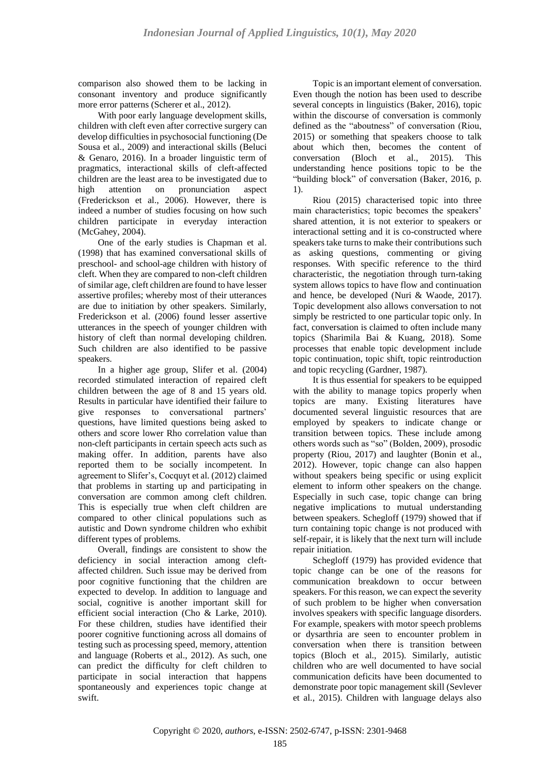comparison also showed them to be lacking in consonant inventory and produce significantly more error patterns (Scherer et al., 2012).

With poor early language development skills, children with cleft even after corrective surgery can develop difficulties in psychosocial functioning (De Sousa et al., 2009) and interactional skills (Beluci & Genaro, 2016). In a broader linguistic term of pragmatics, interactional skills of cleft-affected children are the least area to be investigated due to high attention on pronunciation aspect (Frederickson et al., 2006). However, there is indeed a number of studies focusing on how such children participate in everyday interaction (McGahey, 2004).

One of the early studies is Chapman et al. (1998) that has examined conversational skills of preschool- and school-age children with history of cleft. When they are compared to non-cleft children of similar age, cleft children are found to have lesser assertive profiles; whereby most of their utterances are due to initiation by other speakers. Similarly, Frederickson et al. (2006) found lesser assertive utterances in the speech of younger children with history of cleft than normal developing children. Such children are also identified to be passive speakers.

In a higher age group, Slifer et al. (2004) recorded stimulated interaction of repaired cleft children between the age of 8 and 15 years old. Results in particular have identified their failure to give responses to conversational partners' questions, have limited questions being asked to others and score lower Rho correlation value than non-cleft participants in certain speech acts such as making offer. In addition, parents have also reported them to be socially incompetent. In agreement to Slifer's, Cocquyt et al. (2012) claimed that problems in starting up and participating in conversation are common among cleft children. This is especially true when cleft children are compared to other clinical populations such as autistic and Down syndrome children who exhibit different types of problems.

Overall, findings are consistent to show the deficiency in social interaction among cleftaffected children. Such issue may be derived from poor cognitive functioning that the children are expected to develop. In addition to language and social, cognitive is another important skill for efficient social interaction (Cho & Larke, 2010). For these children, studies have identified their poorer cognitive functioning across all domains of testing such as processing speed, memory, attention and language (Roberts et al., 2012). As such, one can predict the difficulty for cleft children to participate in social interaction that happens spontaneously and experiences topic change at swift.

Topic is an important element of conversation. Even though the notion has been used to describe several concepts in linguistics (Baker, 2016), topic within the discourse of conversation is commonly defined as the "aboutness" of conversation (Riou, 2015) or something that speakers choose to talk about which then, becomes the content of conversation (Bloch et al., 2015). This understanding hence positions topic to be the "building block" of conversation (Baker, 2016, p. 1).

Riou (2015) characterised topic into three main characteristics; topic becomes the speakers' shared attention, it is not exterior to speakers or interactional setting and it is co-constructed where speakers take turns to make their contributions such as asking questions, commenting or giving responses. With specific reference to the third characteristic, the negotiation through turn-taking system allows topics to have flow and continuation and hence, be developed (Nuri & Waode, 2017). Topic development also allows conversation to not simply be restricted to one particular topic only. In fact, conversation is claimed to often include many topics (Sharimila Bai & Kuang, 2018). Some processes that enable topic development include topic continuation, topic shift, topic reintroduction and topic recycling (Gardner, 1987).

It is thus essential for speakers to be equipped with the ability to manage topics properly when topics are many. Existing literatures have documented several linguistic resources that are employed by speakers to indicate change or transition between topics. These include among others words such as "so" (Bolden, 2009), prosodic property (Riou, 2017) and laughter (Bonin et al., 2012). However, topic change can also happen without speakers being specific or using explicit element to inform other speakers on the change. Especially in such case, topic change can bring negative implications to mutual understanding between speakers. Schegloff (1979) showed that if turn containing topic change is not produced with self-repair, it is likely that the next turn will include repair initiation.

Schegloff (1979) has provided evidence that topic change can be one of the reasons for communication breakdown to occur between speakers. For this reason, we can expect the severity of such problem to be higher when conversation involves speakers with specific language disorders. For example, speakers with motor speech problems or dysarthria are seen to encounter problem in conversation when there is transition between topics (Bloch et al., 2015). Similarly, autistic children who are well documented to have social communication deficits have been documented to demonstrate poor topic management skill (Sevlever et al., 2015). Children with language delays also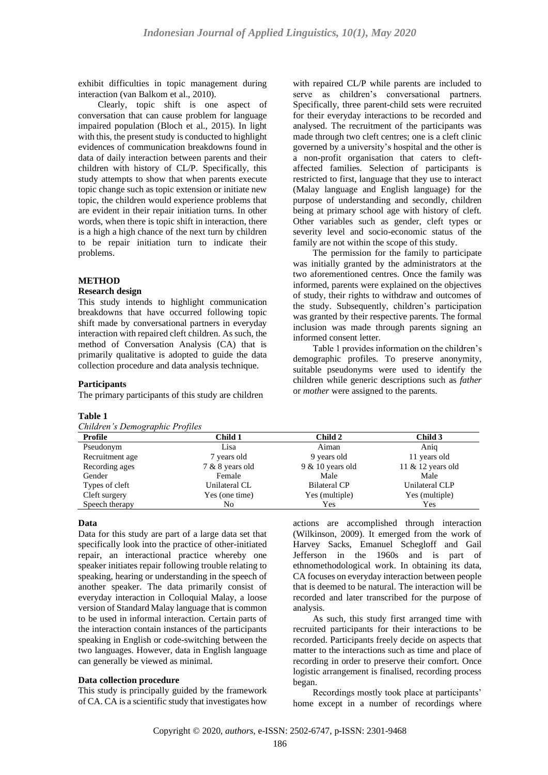exhibit difficulties in topic management during interaction (van Balkom et al., 2010).

Clearly, topic shift is one aspect of conversation that can cause problem for language impaired population (Bloch et al., 2015). In light with this, the present study is conducted to highlight evidences of communication breakdowns found in data of daily interaction between parents and their children with history of CL/P. Specifically, this study attempts to show that when parents execute topic change such as topic extension or initiate new topic, the children would experience problems that are evident in their repair initiation turns. In other words, when there is topic shift in interaction, there is a high a high chance of the next turn by children to be repair initiation turn to indicate their problems.

#### **METHOD**

#### **Research design**

This study intends to highlight communication breakdowns that have occurred following topic shift made by conversational partners in everyday interaction with repaired cleft children. As such, the method of Conversation Analysis (CA) that is primarily qualitative is adopted to guide the data collection procedure and data analysis technique.

# **Participants**

The primary participants of this study are children

#### **Table 1**

| Children's Demographic Profiles |  |  |
|---------------------------------|--|--|
|---------------------------------|--|--|

with repaired CL/P while parents are included to serve as children's conversational partners. Specifically, three parent-child sets were recruited for their everyday interactions to be recorded and analysed. The recruitment of the participants was made through two cleft centres; one is a cleft clinic governed by a university's hospital and the other is a non-profit organisation that caters to cleftaffected families. Selection of participants is restricted to first, language that they use to interact (Malay language and English language) for the purpose of understanding and secondly, children being at primary school age with history of cleft. Other variables such as gender, cleft types or severity level and socio-economic status of the family are not within the scope of this study.

The permission for the family to participate was initially granted by the administrators at the two aforementioned centres. Once the family was informed, parents were explained on the objectives of study, their rights to withdraw and outcomes of the study. Subsequently, children's participation was granted by their respective parents. The formal inclusion was made through parents signing an informed consent letter.

Table 1 provides information on the children's demographic profiles. To preserve anonymity, suitable pseudonyms were used to identify the children while generic descriptions such as *father* or *mother* were assigned to the parents.

| Profile         | Child 1         | Child 2             | Child 3             |
|-----------------|-----------------|---------------------|---------------------|
| Pseudonym       | Lisa            | Aiman               | Anig                |
| Recruitment age | 7 years old     | 9 years old         | 11 years old        |
| Recording ages  | 7 & 8 years old | $9 & 10$ years old  | 11 $&$ 12 years old |
| Gender          | Female          | Male                | Male                |
| Types of cleft  | Unilateral CL   | <b>Bilateral CP</b> | Unilateral CLP      |
| Cleft surgery   | Yes (one time)  | Yes (multiple)      | Yes (multiple)      |
| Speech therapy  | No              | Yes                 | Yes                 |

#### **Data**

Data for this study are part of a large data set that specifically look into the practice of other-initiated repair, an interactional practice whereby one speaker initiates repair following trouble relating to speaking, hearing or understanding in the speech of another speaker. The data primarily consist of everyday interaction in Colloquial Malay, a loose version of Standard Malay language that is common to be used in informal interaction. Certain parts of the interaction contain instances of the participants speaking in English or code-switching between the two languages. However, data in English language can generally be viewed as minimal.

#### **Data collection procedure**

This study is principally guided by the framework of CA. CA is a scientific study that investigates how

actions are accomplished through interaction (Wilkinson, 2009). It emerged from the work of Harvey Sacks, Emanuel Schegloff and Gail Jefferson in the 1960s and is part of ethnomethodological work. In obtaining its data, CA focuses on everyday interaction between people that is deemed to be natural. The interaction will be recorded and later transcribed for the purpose of analysis.

As such, this study first arranged time with recruited participants for their interactions to be recorded. Participants freely decide on aspects that matter to the interactions such as time and place of recording in order to preserve their comfort. Once logistic arrangement is finalised, recording process began.

Recordings mostly took place at participants' home except in a number of recordings where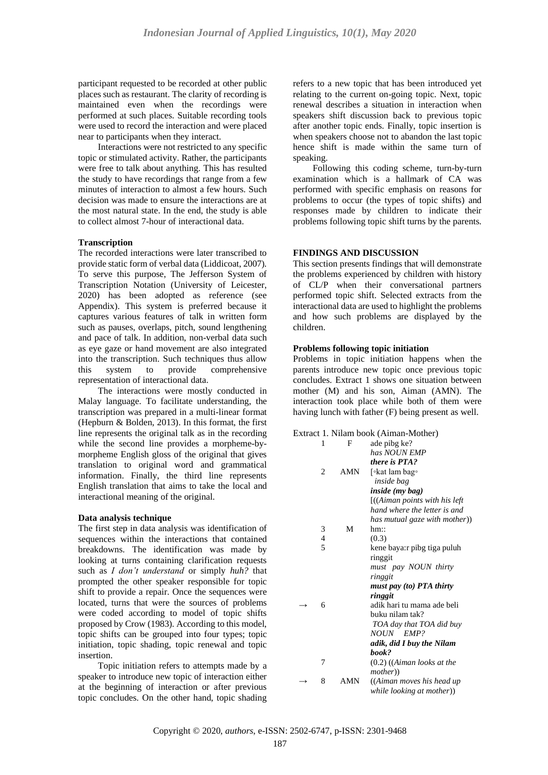participant requested to be recorded at other public places such as restaurant. The clarity of recording is maintained even when the recordings were performed at such places. Suitable recording tools were used to record the interaction and were placed near to participants when they interact.

Interactions were not restricted to any specific topic or stimulated activity. Rather, the participants were free to talk about anything. This has resulted the study to have recordings that range from a few minutes of interaction to almost a few hours. Such decision was made to ensure the interactions are at the most natural state. In the end, the study is able to collect almost 7-hour of interactional data.

# **Transcription**

The recorded interactions were later transcribed to provide static form of verbal data (Liddicoat, 2007). To serve this purpose, The Jefferson System of Transcription Notation (University of Leicester, 2020) has been adopted as reference (see Appendix). This system is preferred because it captures various features of talk in written form such as pauses, overlaps, pitch, sound lengthening and pace of talk. In addition, non-verbal data such as eye gaze or hand movement are also integrated into the transcription. Such techniques thus allow this system to provide comprehensive representation of interactional data.

The interactions were mostly conducted in Malay language. To facilitate understanding, the transcription was prepared in a multi-linear format (Hepburn & Bolden, 2013). In this format, the first line represents the original talk as in the recording while the second line provides a morpheme-bymorpheme English gloss of the original that gives translation to original word and grammatical information. Finally, the third line represents English translation that aims to take the local and interactional meaning of the original.

# **Data analysis technique**

The first step in data analysis was identification of sequences within the interactions that contained breakdowns. The identification was made by looking at turns containing clarification requests such as *I don't understand* or simply *huh?* that prompted the other speaker responsible for topic shift to provide a repair. Once the sequences were located, turns that were the sources of problems were coded according to model of topic shifts proposed by Crow (1983). According to this model, topic shifts can be grouped into four types; topic initiation, topic shading, topic renewal and topic insertion.

Topic initiation refers to attempts made by a speaker to introduce new topic of interaction either at the beginning of interaction or after previous topic concludes. On the other hand, topic shading

refers to a new topic that has been introduced yet relating to the current on-going topic. Next, topic renewal describes a situation in interaction when speakers shift discussion back to previous topic after another topic ends. Finally, topic insertion is when speakers choose not to abandon the last topic hence shift is made within the same turn of speaking.

Following this coding scheme, turn-by-turn examination which is a hallmark of CA was performed with specific emphasis on reasons for problems to occur (the types of topic shifts) and responses made by children to indicate their problems following topic shift turns by the parents.

#### **FINDINGS AND DISCUSSION**

This section presents findings that will demonstrate the problems experienced by children with history of CL/P when their conversational partners performed topic shift. Selected extracts from the interactional data are used to highlight the problems and how such problems are displayed by the children.

# **Problems following topic initiation**

Problems in topic initiation happens when the parents introduce new topic once previous topic concludes. Extract 1 shows one situation between mother (M) and his son, Aiman (AMN). The interaction took place while both of them were having lunch with father (F) being present as well.

#### Extract 1. Nilam book (Aiman-Mother)

| 1              | F   | ade pibg ke?                           |
|----------------|-----|----------------------------------------|
|                |     | has NOUN EMP                           |
|                |     | there is PTA?                          |
| $\overline{c}$ | AMN | [∘kat lam bag∘                         |
|                |     | inside bag                             |
|                |     | <i>inside (my bag)</i>                 |
|                |     | $[(\text{Aiman points with his left})$ |
|                |     | hand where the letter is and           |
|                |     | has mutual gaze with mother))          |
| 3              | M   | $hm$ ::                                |
| 4              |     | (0.3)                                  |
| 5              |     | kene baya:r pibg tiga puluh            |
|                |     | ringgit                                |
|                |     | must pay NOUN thirty                   |
|                |     | ringgit                                |
|                |     | must pay (to) PTA thirty               |
|                |     | ringgit                                |
| 6              |     | adik hari tu mama ade beli             |
|                |     | buku nilam tak?                        |
|                |     | TOA day that TOA did buy               |
|                |     | NOUN EMP?                              |
|                |     | adik, did I buy the Nilam              |
|                |     | book?                                  |
| 7              |     | $(0.2)$ ((Aiman looks at the           |
|                |     | <i>mother</i> )                        |
| 8              | AMN | ((Aiman moves his head up              |
|                |     | while looking at mother))              |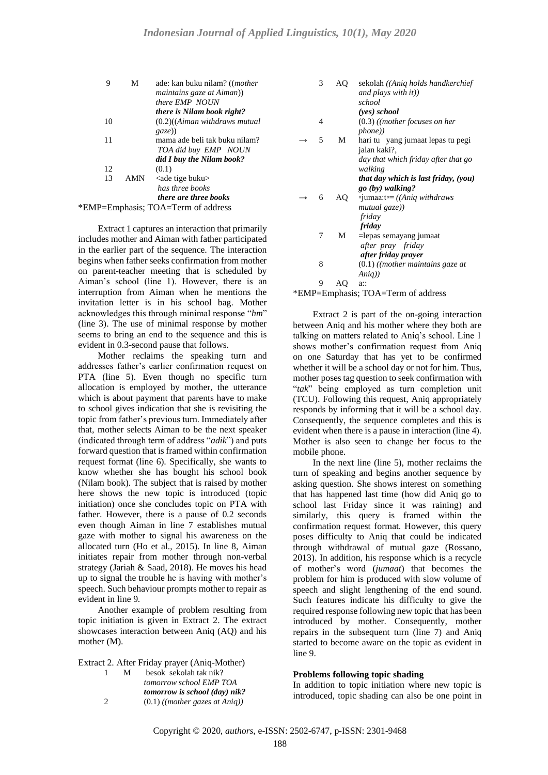| 9  | М   | ade: kan buku nilam? (( <i>mother</i> ) |
|----|-----|-----------------------------------------|
|    |     | maintains gaze at Aiman))               |
|    |     | there EMP NOUN                          |
|    |     | <i>there is Nilam book right?</i>       |
| 10 |     | $(0.2)$ ( <i>Aiman withdraws mutual</i> |
|    |     | $\left(gaze\right)$                     |
| 11 |     | mama ade beli tak buku nilam?           |
|    |     | TOA did buy EMP NOUN                    |
|    |     | did I buy the Nilam book?               |
| 12 |     | (0.1)                                   |
| 13 | AMN | <ade buku="" tige=""></ade>             |
|    |     | has three books                         |
|    |     | <i>there are three books</i>            |
|    |     | *EMP=Emphasis; TOA=Term of address      |

Extract 1 captures an interaction that primarily includes mother and Aiman with father participated in the earlier part of the sequence. The interaction begins when father seeks confirmation from mother on parent-teacher meeting that is scheduled by Aiman's school (line 1). However, there is an interruption from Aiman when he mentions the invitation letter is in his school bag. Mother acknowledges this through minimal response "*hm*" (line 3). The use of minimal response by mother seems to bring an end to the sequence and this is evident in 0.3-second pause that follows.

Mother reclaims the speaking turn and addresses father's earlier confirmation request on PTA (line 5). Even though no specific turn allocation is employed by mother, the utterance which is about payment that parents have to make to school gives indication that she is revisiting the topic from father's previous turn. Immediately after that, mother selects Aiman to be the next speaker (indicated through term of address "*adik*") and puts forward question that is framed within confirmation request format (line 6). Specifically, she wants to know whether she has bought his school book (Nilam book). The subject that is raised by mother here shows the new topic is introduced (topic initiation) once she concludes topic on PTA with father. However, there is a pause of 0.2 seconds even though Aiman in line 7 establishes mutual gaze with mother to signal his awareness on the allocated turn (Ho et al., 2015). In line 8, Aiman initiates repair from mother through non-verbal strategy (Jariah & Saad, 2018). He moves his head up to signal the trouble he is having with mother's speech. Such behaviour prompts mother to repair as evident in line 9.

Another example of problem resulting from topic initiation is given in Extract 2. The extract showcases interaction between Aniq (AQ) and his mother (M).

Extract 2. After Friday prayer (Aniq-Mother)

| L. | м | besok sekolah tak nik?               |
|----|---|--------------------------------------|
|    |   | tomorrow school EMP TOA              |
|    |   | <i>tomorrow is school (day) nik?</i> |
| 2  |   | $(0.1)$ ((mother gazes at Aniq))     |

| 3 | AQ | sekolah ((Aniq holds handkerchief<br>and plays with it)) |
|---|----|----------------------------------------------------------|
|   |    | school                                                   |
|   |    |                                                          |
|   |    | (yes) school                                             |
| 4 |    | $(0.3)$ ((mother focuses on her                          |
|   |    | <i>phone</i> )                                           |
| 5 | М  | hari tu yang jumaat lepas tu pegi                        |
|   |    | jalan kaki?,                                             |
|   |    | day that which friday after that go                      |
|   |    | walking                                                  |
|   |    | that day which is last friday, (you)                     |
|   |    | go (by) walking?                                         |
| 6 | AQ | $\circ$ jumaa:t $\circ = ((Aniq \; with draws)$          |
|   |    | mutual gaze))                                            |
|   |    | friday                                                   |
|   |    | friday                                                   |
| 7 | М  |                                                          |
|   |    | =lepas semayang jumaat                                   |
|   |    | after pray friday                                        |
|   |    | after friday prayer                                      |
| 8 |    | $(0.1)$ ((mother maintains gaze at                       |
|   |    | Aniq)                                                    |
|   |    | $a$ ::                                                   |
|   |    | $\sim$ $\sim$<br>-                                       |

\*EMP=Emphasis; TOA=Term of address

Extract 2 is part of the on-going interaction between Aniq and his mother where they both are talking on matters related to Aniq's school. Line 1 shows mother's confirmation request from Aniq on one Saturday that has yet to be confirmed whether it will be a school day or not for him. Thus, mother poses tag question to seek confirmation with "*tak*" being employed as turn completion unit (TCU). Following this request, Aniq appropriately responds by informing that it will be a school day. Consequently, the sequence completes and this is evident when there is a pause in interaction (line 4). Mother is also seen to change her focus to the mobile phone.

In the next line (line 5), mother reclaims the turn of speaking and begins another sequence by asking question. She shows interest on something that has happened last time (how did Aniq go to school last Friday since it was raining) and similarly, this query is framed within the confirmation request format. However, this query poses difficulty to Aniq that could be indicated through withdrawal of mutual gaze (Rossano, 2013). In addition, his response which is a recycle of mother's word (*jumaat*) that becomes the problem for him is produced with slow volume of speech and slight lengthening of the end sound. Such features indicate his difficulty to give the required response following new topic that has been introduced by mother. Consequently, mother repairs in the subsequent turn (line 7) and Aniq started to become aware on the topic as evident in line 9.

# **Problems following topic shading**

In addition to topic initiation where new topic is introduced, topic shading can also be one point in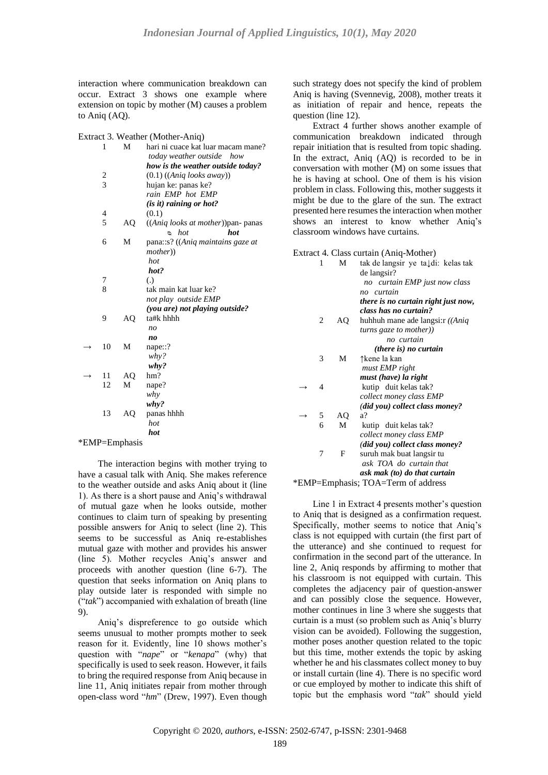interaction where communication breakdown can occur. Extract 3 shows one example where extension on topic by mother (M) causes a problem to Aniq (AQ).

| Extract 3. Weather (Mother-Aniq) |
|----------------------------------|
|----------------------------------|

|   | 1                       | М  | hari ni cuace kat luar macam mane? |
|---|-------------------------|----|------------------------------------|
|   |                         |    | today weather outside how          |
|   |                         |    | how is the weather outside today?  |
|   | $\overline{\mathbf{c}}$ |    | $(0.1)$ ((Aniq looks away))        |
|   | $\overline{3}$          |    | hujan ke: panas ke?                |
|   |                         |    | rain EMP hot EMP                   |
|   |                         |    | (is it) raining or hot?            |
|   | 4                       |    | (0.1)                              |
|   | 5                       | AQ | ((Aniq looks at mother)) pan-panas |
|   |                         |    | $\circ$ hot<br>hot                 |
|   | 6                       | M  | pana::s? ((Aniq maintains gaze at  |
|   |                         |    | <i>mother</i> ))                   |
|   |                         |    | hot                                |
|   |                         |    | hot?                               |
|   | 7                       |    | $\left( .\right)$                  |
|   | 8                       |    | tak main kat luar ke?              |
|   |                         |    | not play outside EMP               |
|   |                         |    | (you are) not playing outside?     |
|   | 9                       | AQ | ta#k hhhh                          |
|   |                         |    | no                                 |
|   |                         |    | no                                 |
|   | 10                      | M  | nape::?                            |
|   |                         |    | $why$ ?                            |
|   |                         |    | why?                               |
|   | 11                      | AQ | hm?                                |
|   | 12                      | M  | nape?                              |
|   |                         |    | why                                |
|   |                         |    |                                    |
|   | 13                      | AQ | why?<br>panas hhhh                 |
|   |                         |    |                                    |
|   |                         |    | hot                                |
| m | $\blacksquare$          |    | hot                                |

#### \*EMP=Emphasis

The interaction begins with mother trying to have a casual talk with Aniq. She makes reference to the weather outside and asks Aniq about it (line 1). As there is a short pause and Aniq's withdrawal of mutual gaze when he looks outside, mother continues to claim turn of speaking by presenting possible answers for Aniq to select (line 2). This seems to be successful as Aniq re-establishes mutual gaze with mother and provides his answer (line 5). Mother recycles Aniq's answer and proceeds with another question (line 6-7). The question that seeks information on Aniq plans to play outside later is responded with simple no ("*tak*") accompanied with exhalation of breath (line 9).

Aniq's dispreference to go outside which seems unusual to mother prompts mother to seek reason for it. Evidently, line 10 shows mother's question with "*nape*" or "*kenapa*" (why) that specifically is used to seek reason. However, it fails to bring the required response from Aniq because in line 11, Aniq initiates repair from mother through open-class word "*hm*" (Drew, 1997). Even though

such strategy does not specify the kind of problem Aniq is having (Svennevig, 2008), mother treats it as initiation of repair and hence, repeats the question (line 12).

Extract 4 further shows another example of communication breakdown indicated through repair initiation that is resulted from topic shading. In the extract, Aniq (AQ) is recorded to be in conversation with mother (M) on some issues that he is having at school. One of them is his vision problem in class. Following this, mother suggests it might be due to the glare of the sun. The extract presented here resumes the interaction when mother shows an interest to know whether Aniq's classroom windows have curtains.

Extract 4. Class curtain (Aniq-Mother)

| 1 | М  | tak de langsir ye ta↓di: kelas tak<br>de langsir? |
|---|----|---------------------------------------------------|
|   |    | no curtain EMP just now class                     |
|   |    | no curtain                                        |
|   |    | there is no curtain right just now,               |
|   |    | class has no curtain?                             |
| 2 | AQ | huhhuh mane ade langsi: $r/(Aniq)$                |
|   |    | turns gaze to mother))                            |
|   |    | no curtain                                        |
|   |    | <i>(there is) no curtain</i>                      |
| 3 | М  | ↑kene la kan                                      |
|   |    | must EMP right                                    |
|   |    | must (have) la right                              |
| 4 |    | kutip duit kelas tak?                             |
|   |    | collect money class EMP                           |
|   |    | (did you) collect class money?                    |
| 5 | AQ | a?                                                |
| 6 | M  | kutip duit kelas tak?                             |
|   |    | collect money class EMP                           |
|   |    | (did you) collect class money?                    |
| 7 | F  | suruh mak buat langsir tu                         |
|   |    | ask TOA do curtain that                           |
|   |    | ask mak (to) do that curtain                      |
|   |    | *EMP=Emphasis; TOA=Term of address                |
|   |    |                                                   |

Line 1 in Extract 4 presents mother's question to Aniq that is designed as a confirmation request. Specifically, mother seems to notice that Aniq's class is not equipped with curtain (the first part of the utterance) and she continued to request for confirmation in the second part of the utterance. In line 2, Aniq responds by affirming to mother that his classroom is not equipped with curtain. This completes the adjacency pair of question-answer and can possibly close the sequence. However, mother continues in line 3 where she suggests that curtain is a must (so problem such as Aniq's blurry vision can be avoided). Following the suggestion, mother poses another question related to the topic but this time, mother extends the topic by asking whether he and his classmates collect money to buy or install curtain (line 4). There is no specific word or cue employed by mother to indicate this shift of topic but the emphasis word "*tak*" should yield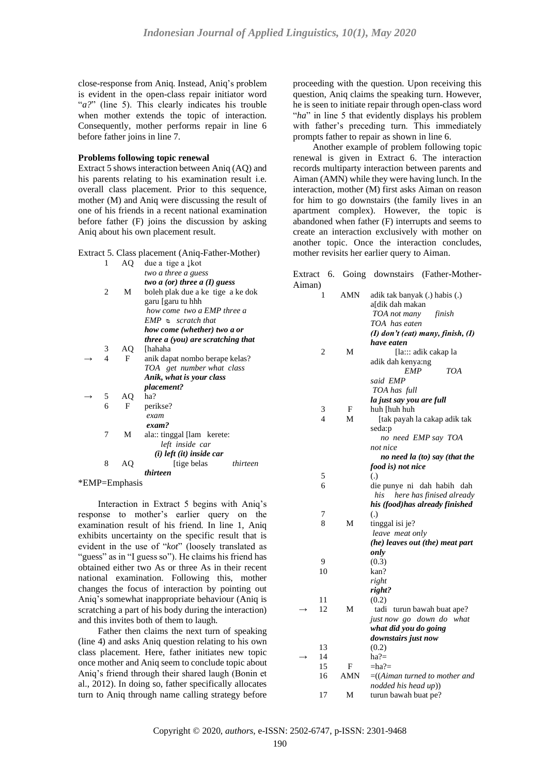close-response from Aniq. Instead, Aniq's problem is evident in the open-class repair initiator word "*a?*" (line 5). This clearly indicates his trouble when mother extends the topic of interaction. Consequently, mother performs repair in line 6 before father joins in line 7.

# **Problems following topic renewal**

Extract 5 shows interaction between Aniq (AQ) and his parents relating to his examination result i.e. overall class placement. Prior to this sequence, mother (M) and Aniq were discussing the result of one of his friends in a recent national examination before father (F) joins the discussion by asking Aniq about his own placement result.

Extract 5. Class placement (Aniq-Father-Mother)

| 1 | AO | due a tige a $\downarrow$ kot     |
|---|----|-----------------------------------|
|   |    | two a three a guess               |
|   |    | two $a$ (or) three $a$ (I) guess  |
| 2 | М  | boleh plak due a ke tige a ke dok |
|   |    | garu [garu tu hhh                 |
|   |    | how come two a EMP three a        |
|   |    | $EMP \simeq \, scratch \, that$   |
|   |    | how come (whether) two a or       |
|   |    | three a (you) are scratching that |
| 3 | AQ | [hahaha                           |
| 4 | F  | anik dapat nombo berape kelas?    |
|   |    | TOA get number what class         |
|   |    | Anik, what is your class          |
|   |    | <i>placement?</i>                 |
| 5 | AQ | ha?                               |
| 6 | F  | perikse?                          |
|   |    | exam                              |
|   |    | exam?                             |
| 7 | М  | ala: tinggal [lam kerete:         |
|   |    | left inside car                   |
|   |    | $(i)$ left $(it)$ inside car      |
| 8 | AQ | [tige belas]<br>thirteen          |
|   |    | thirteen                          |
|   |    |                                   |

\*EMP=Emphasis

Interaction in Extract 5 begins with Aniq's response to mother's earlier query on the examination result of his friend. In line 1, Aniq exhibits uncertainty on the specific result that is evident in the use of "*kot*" (loosely translated as "guess" as in "I guess so"). He claims his friend has obtained either two As or three As in their recent national examination. Following this, mother changes the focus of interaction by pointing out Aniq's somewhat inappropriate behaviour (Aniq is scratching a part of his body during the interaction) and this invites both of them to laugh.

Father then claims the next turn of speaking (line 4) and asks Aniq question relating to his own class placement. Here, father initiates new topic once mother and Aniq seem to conclude topic about Aniq's friend through their shared laugh (Bonin et al., 2012). In doing so, father specifically allocates turn to Aniq through name calling strategy before

proceeding with the question. Upon receiving this question, Aniq claims the speaking turn. However, he is seen to initiate repair through open-class word "*ha*" in line 5 that evidently displays his problem with father's preceding turn. This immediately prompts father to repair as shown in line 6.

Another example of problem following topic renewal is given in Extract 6. The interaction records multiparty interaction between parents and Aiman (AMN) while they were having lunch. In the interaction, mother (M) first asks Aiman on reason for him to go downstairs (the family lives in an apartment complex). However, the topic is abandoned when father (F) interrupts and seems to create an interaction exclusively with mother on another topic. Once the interaction concludes, mother revisits her earlier query to Aiman.

| Extract | 6.                       |            | Going downstairs (Father-Mother-      |
|---------|--------------------------|------------|---------------------------------------|
| Aiman)  |                          |            |                                       |
|         | 1                        | <b>AMN</b> | adik tak banyak (.) habis (.)         |
|         |                          |            | a[dik dah makan                       |
|         |                          |            | TOA not many<br>finish                |
|         |                          |            | TOA has eaten                         |
|         |                          |            | $(I)$ don't (eat) many, finish, $(I)$ |
|         |                          |            | have eaten                            |
|         | 2                        | М          | [la::: adik cakap la                  |
|         |                          |            | adik dah kenya:ng                     |
|         |                          |            | <b>EMP</b><br>TOA                     |
|         |                          |            | said EMP                              |
|         |                          |            | TOA has full                          |
|         |                          |            | la just say you are full              |
|         | 3                        | F          | huh [huh huh                          |
|         | $\overline{\mathcal{A}}$ | М          | [tak payah la cakap adik tak          |
|         |                          |            | seda:p                                |
|         |                          |            | no need EMP say TOA                   |
|         |                          |            | not nice                              |
|         |                          |            | no need la (to) say (that the         |
|         |                          |            | food is) not nice                     |
|         | 5                        |            | (.)                                   |
|         | 6                        |            | die punye ni dah habih dah            |
|         |                          |            | here has finised already<br>his       |
|         |                          |            | his (food)has already finished        |
|         | 7                        |            | $\left( .\right)$                     |
|         | 8                        | М          | tinggal isi je?                       |
|         |                          |            | leave meat only                       |
|         |                          |            | (he) leaves out (the) meat part       |
|         |                          |            | only                                  |
|         | 9                        |            | (0.3)                                 |
|         | 10                       |            | kan?                                  |
|         |                          |            | right                                 |
|         |                          |            | right?                                |
|         | 11                       |            | (0.2)                                 |
|         | 12                       | М          | tadi<br>turun bawah buat ape?         |
|         |                          |            | just now go down do<br>what           |
|         |                          |            | what did you do going                 |
|         |                          |            | downstairs just now                   |
|         | 13                       |            | (0.2)                                 |
|         | 14                       |            | $ha? =$                               |
|         | 15                       | F          | =ha?=                                 |
|         | 16                       | AMN        | $=$ (Aiman turned to mother and       |
|         |                          |            | nodded his head up))                  |
|         | 17                       | М          | turun bawah buat pe?                  |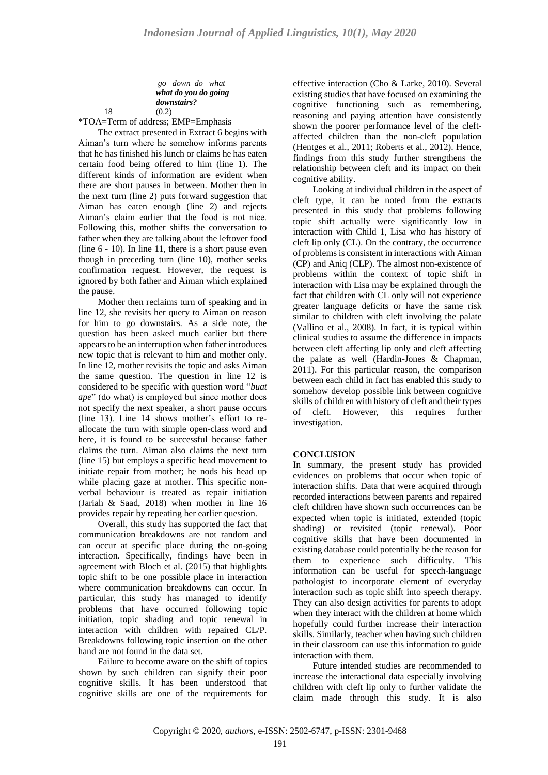*go down do what what do you do going downstairs?*

18 (0.2)

\*TOA=Term of address; EMP=Emphasis

The extract presented in Extract 6 begins with Aiman's turn where he somehow informs parents that he has finished his lunch or claims he has eaten certain food being offered to him (line 1). The different kinds of information are evident when there are short pauses in between. Mother then in the next turn (line 2) puts forward suggestion that Aiman has eaten enough (line 2) and rejects Aiman's claim earlier that the food is not nice. Following this, mother shifts the conversation to father when they are talking about the leftover food (line 6 - 10). In line 11, there is a short pause even though in preceding turn (line 10), mother seeks confirmation request. However, the request is ignored by both father and Aiman which explained the pause.

Mother then reclaims turn of speaking and in line 12, she revisits her query to Aiman on reason for him to go downstairs. As a side note, the question has been asked much earlier but there appears to be an interruption when father introduces new topic that is relevant to him and mother only. In line 12, mother revisits the topic and asks Aiman the same question. The question in line 12 is considered to be specific with question word "*buat ape*" (do what) is employed but since mother does not specify the next speaker, a short pause occurs (line 13). Line 14 shows mother's effort to reallocate the turn with simple open-class word and here, it is found to be successful because father claims the turn. Aiman also claims the next turn (line 15) but employs a specific head movement to initiate repair from mother; he nods his head up while placing gaze at mother. This specific nonverbal behaviour is treated as repair initiation (Jariah & Saad, 2018) when mother in line 16 provides repair by repeating her earlier question.

Overall, this study has supported the fact that communication breakdowns are not random and can occur at specific place during the on-going interaction. Specifically, findings have been in agreement with Bloch et al. (2015) that highlights topic shift to be one possible place in interaction where communication breakdowns can occur. In particular, this study has managed to identify problems that have occurred following topic initiation, topic shading and topic renewal in interaction with children with repaired CL/P. Breakdowns following topic insertion on the other hand are not found in the data set.

Failure to become aware on the shift of topics shown by such children can signify their poor cognitive skills. It has been understood that cognitive skills are one of the requirements for

effective interaction (Cho & Larke, 2010). Several existing studies that have focused on examining the cognitive functioning such as remembering, reasoning and paying attention have consistently shown the poorer performance level of the cleftaffected children than the non-cleft population (Hentges et al., 2011; Roberts et al., 2012). Hence, findings from this study further strengthens the relationship between cleft and its impact on their cognitive ability.

Looking at individual children in the aspect of cleft type, it can be noted from the extracts presented in this study that problems following topic shift actually were significantly low in interaction with Child 1, Lisa who has history of cleft lip only (CL). On the contrary, the occurrence of problems is consistent in interactions with Aiman (CP) and Aniq (CLP). The almost non-existence of problems within the context of topic shift in interaction with Lisa may be explained through the fact that children with CL only will not experience greater language deficits or have the same risk similar to children with cleft involving the palate (Vallino et al., 2008). In fact, it is typical within clinical studies to assume the difference in impacts between cleft affecting lip only and cleft affecting the palate as well (Hardin-Jones & Chapman, 2011). For this particular reason, the comparison between each child in fact has enabled this study to somehow develop possible link between cognitive skills of children with history of cleft and their types of cleft. However, this requires further investigation.

# **CONCLUSION**

In summary, the present study has provided evidences on problems that occur when topic of interaction shifts. Data that were acquired through recorded interactions between parents and repaired cleft children have shown such occurrences can be expected when topic is initiated, extended (topic shading) or revisited (topic renewal). Poor cognitive skills that have been documented in existing database could potentially be the reason for them to experience such difficulty. This information can be useful for speech-language pathologist to incorporate element of everyday interaction such as topic shift into speech therapy. They can also design activities for parents to adopt when they interact with the children at home which hopefully could further increase their interaction skills. Similarly, teacher when having such children in their classroom can use this information to guide interaction with them.

Future intended studies are recommended to increase the interactional data especially involving children with cleft lip only to further validate the claim made through this study. It is also

Copyright © 2020, *authors*, e-ISSN: 2502-6747, p-ISSN: 2301-9468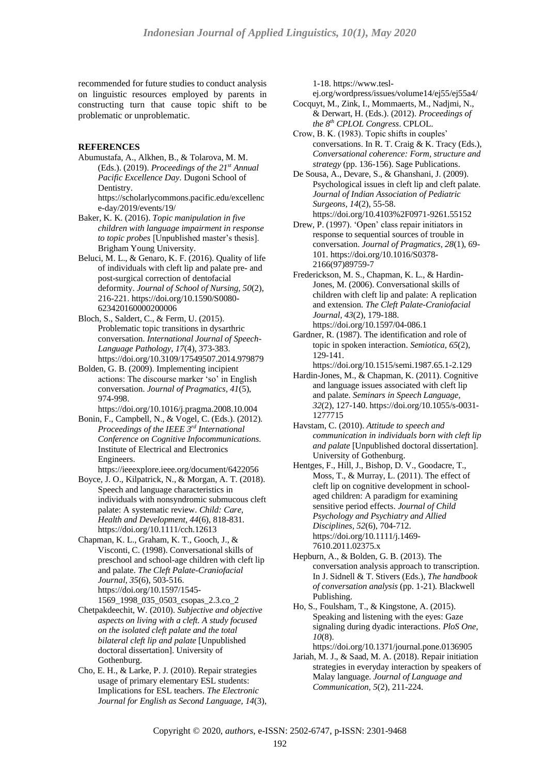recommended for future studies to conduct analysis on linguistic resources employed by parents in constructing turn that cause topic shift to be problematic or unproblematic.

# **REFERENCES**

Abumustafa, A., Alkhen, B., & Tolarova, M. M. (Eds.). (2019). *Proceedings of the 21st Annual Pacific Excellence Day*. Dugoni School of Dentistry.

[https://scholarlycommons.pacific.edu/excellenc](https://scholarlycommons.pacific.edu/excellence-day/2019/events/19/) [e-day/2019/events/19/](https://scholarlycommons.pacific.edu/excellence-day/2019/events/19/)

- Baker, K. K. (2016). *Topic manipulation in five children with language impairment in response to topic probes* [Unpublished master's thesis]. Brigham Young University.
- Beluci, M. L., & Genaro, K. F. (2016). Quality of life of individuals with cleft lip and palate pre- and post-surgical correction of dentofacial deformity. *Journal of School of Nursing, 50*(2), 216-221. [https://doi.org/10.1590/S0080-](https://doi.org/10.1590/S0080-623420160000200006) [623420160000200006](https://doi.org/10.1590/S0080-623420160000200006)
- Bloch, S., Saldert, C., & Ferm, U. (2015). Problematic topic transitions in dysarthric conversation. *International Journal of Speech-Language Pathology, 17*(4), 373-383. <https://doi.org/10.3109/17549507.2014.979879>
- Bolden, G. B. (2009). Implementing incipient actions: The discourse marker 'so' in English conversation. *Journal of Pragmatics, 41*(5), 974-998.

<https://doi.org/10.1016/j.pragma.2008.10.004>

- Bonin, F., Campbell, N., & Vogel, C. (Eds.). (2012). *Proceedings of the IEEE 3rd International Conference on Cognitive Infocommunications*. Institute of Electrical and Electronics Engineers.
- <https://ieeexplore.ieee.org/document/6422056> Boyce, J. O., Kilpatrick, N., & Morgan, A. T. (2018). Speech and language characteristics in
- individuals with nonsyndromic submucous cleft palate: A systematic review. *Child: Care, Health and Development, 44*(6), 818-831. <https://doi.org/10.1111/cch.12613>

Chapman, K. L., Graham, K. T., Gooch, J., & Visconti, C. (1998). Conversational skills of preschool and school-age children with cleft lip and palate. *The Cleft Palate-Craniofacial Journal, 35*(6), 503-516. [https://doi.org/10.1597/1545-](https://doi.org/10.1597/1545-1569_1998_035_0503_csopas_2.3.co_2) [1569\\_1998\\_035\\_0503\\_csopas\\_2.3.co\\_2](https://doi.org/10.1597/1545-1569_1998_035_0503_csopas_2.3.co_2)

- Chetpakdeechit, W. (2010). *Subjective and objective aspects on living with a cleft. A study focused on the isolated cleft palate and the total bilateral cleft lip and palate* [Unpublished doctoral dissertation]. University of Gothenburg.
- Cho, E. H., & Larke, P. J. (2010). Repair strategies usage of primary elementary ESL students: Implications for ESL teachers. *The Electronic Journal for English as Second Language, 14*(3),

1-18. [https://www.tesl-](https://www.tesl-ej.org/wordpress/issues/volume14/ej55/ej55a4/)

[ej.org/wordpress/issues/volume14/ej55/ej55a4/](https://www.tesl-ej.org/wordpress/issues/volume14/ej55/ej55a4/)

- Cocquyt, M., Zink, I., Mommaerts, M., Nadjmi, N., & Derwart, H. (Eds.). (2012). *Proceedings of the 8 th CPLOL Congress*. CPLOL.
- Crow, B. K. (1983). Topic shifts in couples' conversations. In R. T. Craig & K. Tracy (Eds.), *Conversational coherence: Form, structure and strategy* (pp. 136-156). Sage Publications.
- De Sousa, A., Devare, S., & Ghanshani, J. (2009). Psychological issues in cleft lip and cleft palate. *Journal of Indian Association of Pediatric Surgeons, 14*(2), 55-58.
- <https://doi.org/10.4103%2F0971-9261.55152> Drew, P. (1997). 'Open' class repair initiators in
- response to sequential sources of trouble in conversation. *Journal of Pragmatics, 28*(1), 69- 101[. https://doi.org/10.1016/S0378-](https://doi.org/10.1016/S0378-2166(97)89759-7) [2166\(97\)89759-7](https://doi.org/10.1016/S0378-2166(97)89759-7)
- Frederickson, M. S., Chapman, K. L., & Hardin-Jones, M. (2006). Conversational skills of children with cleft lip and palate: A replication and extension. *The Cleft Palate-Craniofacial Journal, 43*(2), 179-188. <https://doi.org/10.1597/04-086.1>
- Gardner, R. (1987). The identification and role of topic in spoken interaction. *Semiotica, 65*(2), 129-141.

<https://doi.org/10.1515/semi.1987.65.1-2.129>

- Hardin-Jones, M., & Chapman, K. (2011). Cognitive and language issues associated with cleft lip and palate. *Seminars in Speech Language, 32*(2), 127-140[. https://doi.org/10.1055/s-0031-](https://doi.org/10.1055/s-0031-1277715) [1277715](https://doi.org/10.1055/s-0031-1277715)
- Havstam, C. (2010). *Attitude to speech and communication in individuals born with cleft lip and palate* [Unpublished doctoral dissertation]. University of Gothenburg.
- Hentges, F., Hill, J., Bishop, D. V., Goodacre, T., Moss, T., & Murray, L. (2011). The effect of cleft lip on cognitive development in schoolaged children: A paradigm for examining sensitive period effects. *Journal of Child Psychology and Psychiatry and Allied Disciplines, 52*(6), 704-712. [https://doi.org/10.1111/j.1469-](https://doi.org/10.1111/j.1469-7610.2011.02375.x) [7610.2011.02375.x](https://doi.org/10.1111/j.1469-7610.2011.02375.x)
- Hepburn, A., & Bolden, G. B. (2013). The conversation analysis approach to transcription. In J. Sidnell & T. Stivers (Eds.), *The handbook of conversation analysis* (pp. 1-21). Blackwell Publishing.
- Ho, S., Foulsham, T., & Kingstone, A. (2015). Speaking and listening with the eyes: Gaze signaling during dyadic interactions. *PloS One, 10*(8).
- <https://doi.org/10.1371/journal.pone.0136905>
- Jariah, M. J., & Saad, M. A. (2018). Repair initiation strategies in everyday interaction by speakers of Malay language. *Journal of Language and Communication, 5*(2), 211-224.